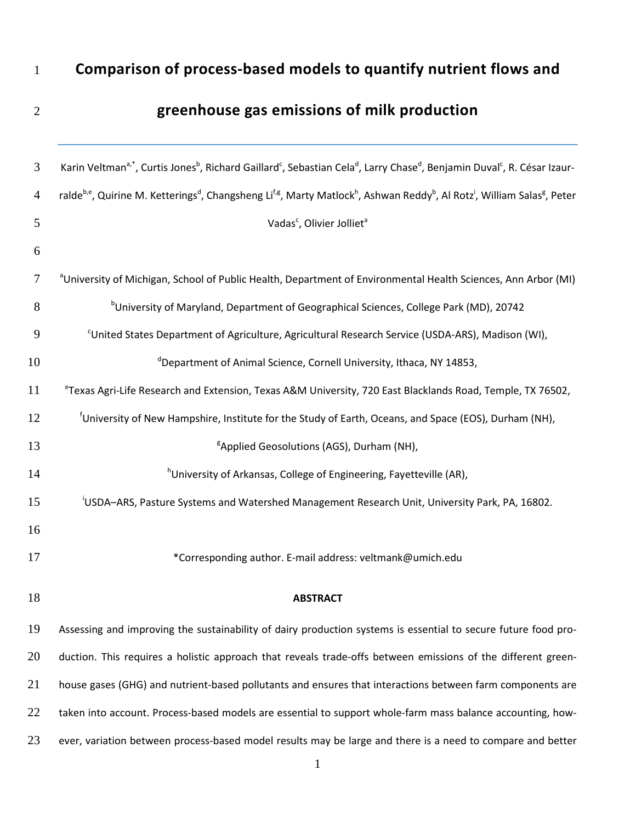## **Comparison of process-based models to quantify nutrient flows and**

# **greenhouse gas emissions of milk production**

| $\mathfrak{Z}$ | Karin Veltman <sup>a,*</sup> , Curtis Jones <sup>b</sup> , Richard Gaillard <sup>c</sup> , Sebastian Cela <sup>d</sup> , Larry Chase <sup>d</sup> , Benjamin Duval <sup>c</sup> , R. César Izaur-             |
|----------------|---------------------------------------------------------------------------------------------------------------------------------------------------------------------------------------------------------------|
| $\overline{4}$ | ralde <sup>b,e</sup> , Quirine M. Ketterings <sup>d</sup> , Changsheng Li <sup>f,g</sup> , Marty Matlock <sup>h</sup> , Ashwan Reddy <sup>b</sup> , Al Rotz <sup>i</sup> , William Salas <sup>g</sup> , Peter |
| 5              | Vadas <sup>c</sup> , Olivier Jolliet <sup>a</sup>                                                                                                                                                             |
| 6              |                                                                                                                                                                                                               |
| $\tau$         | <sup>a</sup> University of Michigan, School of Public Health, Department of Environmental Health Sciences, Ann Arbor (MI)                                                                                     |
| 8              | <sup>b</sup> University of Maryland, Department of Geographical Sciences, College Park (MD), 20742                                                                                                            |
| 9              | <sup>c</sup> United States Department of Agriculture, Agricultural Research Service (USDA-ARS), Madison (WI),                                                                                                 |
| 10             | <sup>d</sup> Department of Animal Science, Cornell University, Ithaca, NY 14853,                                                                                                                              |
| 11             | <sup>e</sup> Texas Agri-Life Research and Extension, Texas A&M University, 720 East Blacklands Road, Temple, TX 76502,                                                                                        |
| 12             | <sup>f</sup> University of New Hampshire, Institute for the Study of Earth, Oceans, and Space (EOS), Durham (NH),                                                                                             |
| 13             | <sup>g</sup> Applied Geosolutions (AGS), Durham (NH),                                                                                                                                                         |
| 14             | <sup>h</sup> University of Arkansas, College of Engineering, Fayetteville (AR),                                                                                                                               |
| 15             | USDA-ARS, Pasture Systems and Watershed Management Research Unit, University Park, PA, 16802.                                                                                                                 |
| 16             |                                                                                                                                                                                                               |
| 17             | *Corresponding author. E-mail address: veltmank@umich.edu                                                                                                                                                     |
| 18             | <b>ABSTRACT</b>                                                                                                                                                                                               |
| 19             | Assessing and improving the sustainability of dairy production systems is essential to secure future food pro-                                                                                                |
| 20             | duction. This requires a holistic approach that reveals trade-offs between emissions of the different green-                                                                                                  |
| 21             | house gases (GHG) and nutrient-based pollutants and ensures that interactions between farm components are                                                                                                     |
| 22             | taken into account. Process-based models are essential to support whole-farm mass balance accounting, how-                                                                                                    |
| 23             | ever, variation between process-based model results may be large and there is a need to compare and better                                                                                                    |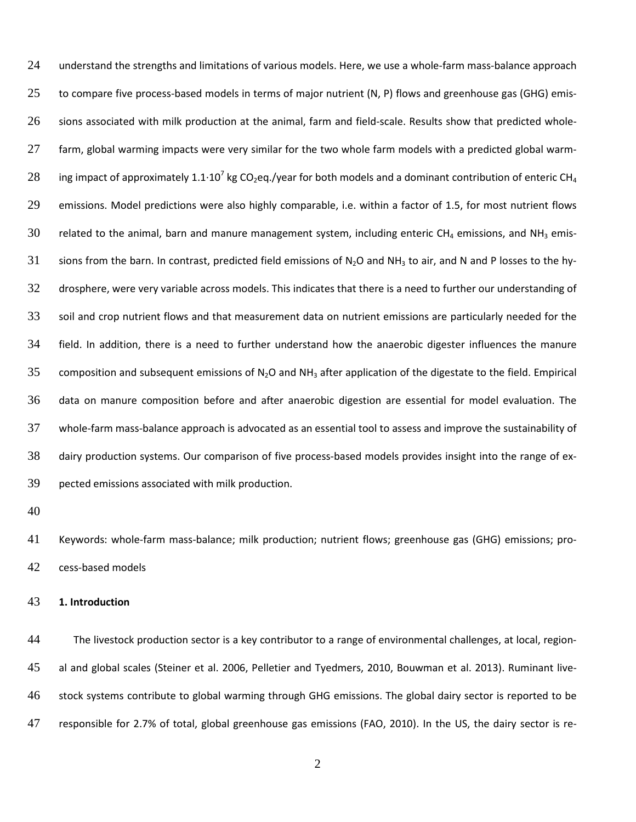understand the strengths and limitations of various models. Here, we use a whole-farm mass-balance approach to compare five process-based models in terms of major nutrient (N, P) flows and greenhouse gas (GHG) emis- sions associated with milk production at the animal, farm and field-scale. Results show that predicted whole- farm, global warming impacts were very similar for the two whole farm models with a predicted global warm-28 ing impact of approximately 1.1 $\cdot$ 10<sup>7</sup> kg CO<sub>2</sub>eq./year for both models and a dominant contribution of enteric CH<sub>4</sub> emissions. Model predictions were also highly comparable, i.e. within a factor of 1.5, for most nutrient flows 30 related to the animal, barn and manure management system, including enteric CH<sub>4</sub> emissions, and NH<sub>3</sub> emis-31 sions from the barn. In contrast, predicted field emissions of N<sub>2</sub>O and NH<sub>3</sub> to air, and N and P losses to the hy- drosphere, were very variable across models. This indicates that there is a need to further our understanding of soil and crop nutrient flows and that measurement data on nutrient emissions are particularly needed for the field. In addition, there is a need to further understand how the anaerobic digester influences the manure 35 composition and subsequent emissions of N<sub>2</sub>O and NH<sub>3</sub> after application of the digestate to the field. Empirical data on manure composition before and after anaerobic digestion are essential for model evaluation. The whole-farm mass-balance approach is advocated as an essential tool to assess and improve the sustainability of dairy production systems. Our comparison of five process-based models provides insight into the range of ex-pected emissions associated with milk production.

 Keywords: whole-farm mass-balance; milk production; nutrient flows; greenhouse gas (GHG) emissions; pro-cess-based models

#### **1. Introduction**

 The livestock production sector is a key contributor to a range of environmental challenges, at local, region- al and global scales (Steiner et al. 2006, Pelletier and Tyedmers, 2010, Bouwman et al. 2013). Ruminant live- stock systems contribute to global warming through GHG emissions. The global dairy sector is reported to be responsible for 2.7% of total, global greenhouse gas emissions (FAO, 2010). In the US, the dairy sector is re-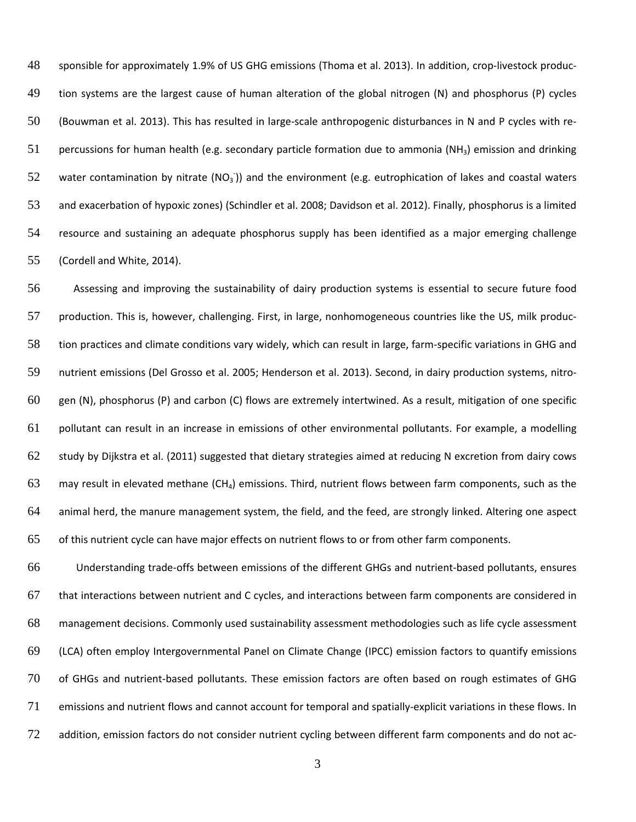sponsible for approximately 1.9% of US GHG emissions (Thoma et al. 2013). In addition, crop-livestock produc- tion systems are the largest cause of human alteration of the global nitrogen (N) and phosphorus (P) cycles (Bouwman et al. 2013). This has resulted in large-scale anthropogenic disturbances in N and P cycles with re-51 percussions for human health (e.g. secondary particle formation due to ammonia (NH<sub>3</sub>) emission and drinking 52 water contamination by nitrate (NO<sub>3</sub>)) and the environment (e.g. eutrophication of lakes and coastal waters and exacerbation of hypoxic zones) (Schindler et al. 2008; Davidson et al. 2012). Finally, phosphorus is a limited resource and sustaining an adequate phosphorus supply has been identified as a major emerging challenge (Cordell and White, 2014).

 Assessing and improving the sustainability of dairy production systems is essential to secure future food production. This is, however, challenging. First, in large, nonhomogeneous countries like the US, milk produc- tion practices and climate conditions vary widely, which can result in large, farm-specific variations in GHG and nutrient emissions (Del Grosso et al. 2005; Henderson et al. 2013). Second, in dairy production systems, nitro- gen (N), phosphorus (P) and carbon (C) flows are extremely intertwined. As a result, mitigation of one specific pollutant can result in an increase in emissions of other environmental pollutants. For example, a modelling study by Dijkstra et al. (2011) suggested that dietary strategies aimed at reducing N excretion from dairy cows 63 may result in elevated methane  $(CH_4)$  emissions. Third, nutrient flows between farm components, such as the animal herd, the manure management system, the field, and the feed, are strongly linked. Altering one aspect of this nutrient cycle can have major effects on nutrient flows to or from other farm components.

 Understanding trade-offs between emissions of the different GHGs and nutrient-based pollutants, ensures that interactions between nutrient and C cycles, and interactions between farm components are considered in management decisions. Commonly used sustainability assessment methodologies such as life cycle assessment (LCA) often employ Intergovernmental Panel on Climate Change (IPCC) emission factors to quantify emissions of GHGs and nutrient-based pollutants. These emission factors are often based on rough estimates of GHG emissions and nutrient flows and cannot account for temporal and spatially-explicit variations in these flows. In addition, emission factors do not consider nutrient cycling between different farm components and do not ac-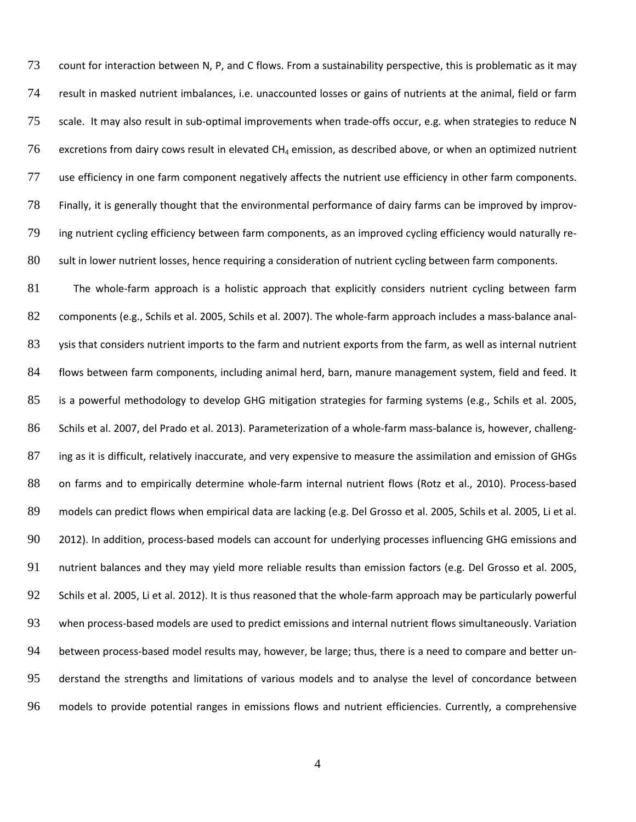count for interaction between N, P, and C flows. From a sustainability perspective, this is problematic as it may result in masked nutrient imbalances, i.e. unaccounted losses or gains of nutrients at the animal, field or farm scale. It may also result in sub-optimal improvements when trade-offs occur, e.g. when strategies to reduce N 76 excretions from dairy cows result in elevated  $CH_4$  emission, as described above, or when an optimized nutrient use efficiency in one farm component negatively affects the nutrient use efficiency in other farm components. Finally, it is generally thought that the environmental performance of dairy farms can be improved by improv- ing nutrient cycling efficiency between farm components, as an improved cycling efficiency would naturally re-sult in lower nutrient losses, hence requiring a consideration of nutrient cycling between farm components.

 The whole-farm approach is a holistic approach that explicitly considers nutrient cycling between farm components (e.g., Schils et al. 2005, Schils et al. 2007). The whole-farm approach includes a mass-balance anal-83 ysis that considers nutrient imports to the farm and nutrient exports from the farm, as well as internal nutrient flows between farm components, including animal herd, barn, manure management system, field and feed. It is a powerful methodology to develop GHG mitigation strategies for farming systems (e.g., Schils et al. 2005, Schils et al. 2007, del Prado et al. 2013). Parameterization of a whole-farm mass-balance is, however, challeng-87 ing as it is difficult, relatively inaccurate, and very expensive to measure the assimilation and emission of GHGs on farms and to empirically determine whole-farm internal nutrient flows (Rotz et al., 2010). Process-based 89 models can predict flows when empirical data are lacking (e.g. Del Grosso et al. 2005, Schils et al. 2005, Li et al. 2012). In addition, process-based models can account for underlying processes influencing GHG emissions and nutrient balances and they may yield more reliable results than emission factors (e.g. Del Grosso et al. 2005, Schils et al. 2005, Li et al. 2012). It is thus reasoned that the whole-farm approach may be particularly powerful when process-based models are used to predict emissions and internal nutrient flows simultaneously. Variation between process-based model results may, however, be large; thus, there is a need to compare and better un- derstand the strengths and limitations of various models and to analyse the level of concordance between models to provide potential ranges in emissions flows and nutrient efficiencies. Currently, a comprehensive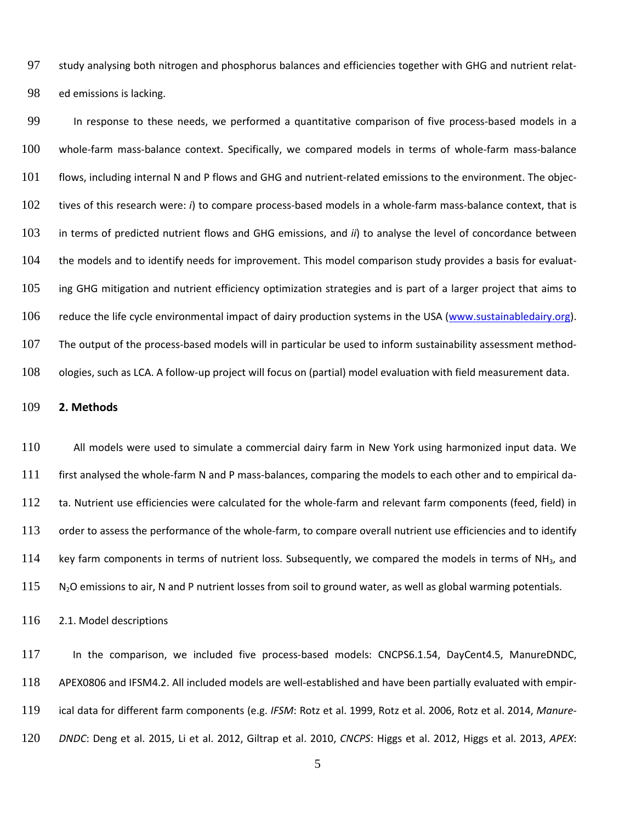study analysing both nitrogen and phosphorus balances and efficiencies together with GHG and nutrient relat-ed emissions is lacking.

 In response to these needs, we performed a quantitative comparison of five process-based models in a whole-farm mass-balance context. Specifically, we compared models in terms of whole-farm mass-balance flows, including internal N and P flows and GHG and nutrient-related emissions to the environment. The objec- tives of this research were: *i*) to compare process-based models in a whole-farm mass-balance context, that is in terms of predicted nutrient flows and GHG emissions, and *ii*) to analyse the level of concordance between the models and to identify needs for improvement. This model comparison study provides a basis for evaluat-105 ing GHG mitigation and nutrient efficiency optimization strategies and is part of a larger project that aims to reduce the life cycle environmental impact of dairy production systems in the USA [\(www.sustainabledairy.org\)](http://www.sustainabledairy.org/). 107 The output of the process-based models will in particular be used to inform sustainability assessment method-ologies, such as LCA. A follow-up project will focus on (partial) model evaluation with field measurement data.

#### **2. Methods**

 All models were used to simulate a commercial dairy farm in New York using harmonized input data. We first analysed the whole-farm N and P mass-balances, comparing the models to each other and to empirical da- ta. Nutrient use efficiencies were calculated for the whole-farm and relevant farm components (feed, field) in 113 order to assess the performance of the whole-farm, to compare overall nutrient use efficiencies and to identify 114 key farm components in terms of nutrient loss. Subsequently, we compared the models in terms of NH<sub>3</sub>, and N<sub>2</sub>O emissions to air, N and P nutrient losses from soil to ground water, as well as global warming potentials.

2.1. Model descriptions

 In the comparison, we included five process-based models: CNCPS6.1.54, DayCent4.5, ManureDNDC, APEX0806 and IFSM4.2. All included models are well-established and have been partially evaluated with empir- ical data for different farm components (e.g. *IFSM*: Rotz et al. 1999, Rotz et al. 2006, Rotz et al. 2014, *Manure-DNDC*: Deng et al. 2015, Li et al. 2012, Giltrap et al. 2010, *CNCPS*: Higgs et al. 2012, Higgs et al. 2013, *APEX*: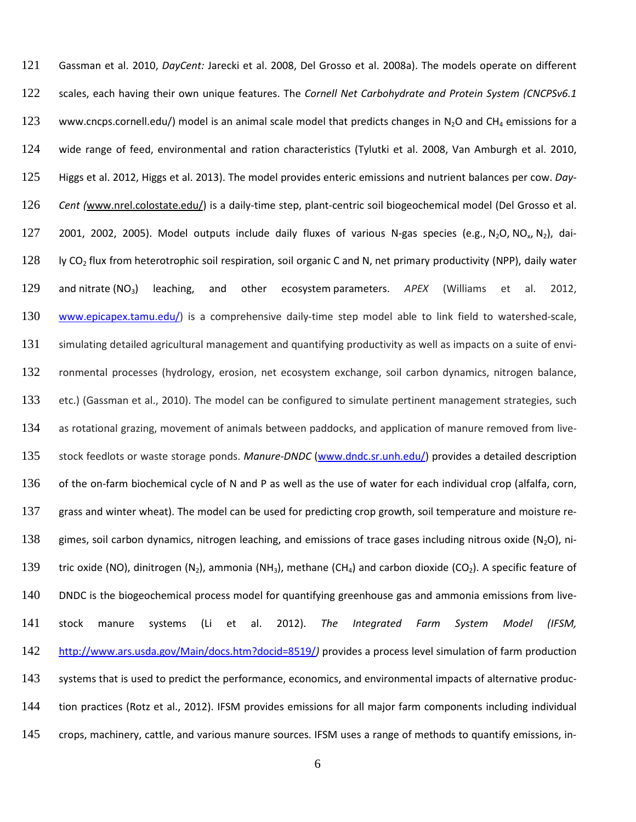Gassman et al. 2010, *DayCent:* Jarecki et al. 2008, Del Grosso et al. 2008a). The models operate on different scales, each having their own unique features. The *Cornell Net Carbohydrate and Protein System (CNCPSv6.1* 123 www.cncps.cornell.edu/) model is an animal scale model that predicts changes in N<sub>2</sub>O and CH<sub>4</sub> emissions for a wide range of feed, environmental and ration characteristics (Tylutki et al. 2008, Van Amburgh et al. 2010, Higgs et al. 2012, Higgs et al. 2013). The model provides enteric emissions and nutrient balances per cow. *Day- Cent (*[www.nrel.colostate.edu/\)](http://www.nrel.colostate.edu/) is a daily-time step, plant-centric soil biogeochemical model (Del Grosso et al. 127 2001, 2002, 2005). Model outputs include daily fluxes of various N-gas species (e.g., N<sub>2</sub>O, NO<sub>x</sub>, N<sub>2</sub>), dai128 ly CO<sub>2</sub> flux from [heterotrophic soil respiration,](http://en.wikipedia.org/wiki/Soil_respiration#Soil_animals) soil organic [C](http://en.wikipedia.org/wiki/Carbon) and [N,](http://en.wikipedia.org/wiki/Nitrogen) [net primary productivity](http://en.wikipedia.org/wiki/Net_primary_productivity) (NPP), daily water and [nitrate](http://en.wikipedia.org/wiki/Nitrate) (NO3) leaching, and other [ecosystem](http://en.wikipedia.org/wiki/Ecosystem) parameters. *APEX* (Williams et al. 2012, [www.epicapex.tamu.edu/\)](http://www.epicapex.tamu.edu/) is a comprehensive daily-time step model able to link field to watershed-scale, simulating detailed agricultural management and quantifying productivity as well as impacts on a suite of envi- ronmental processes (hydrology, erosion, net ecosystem exchange, soil carbon dynamics, nitrogen balance, etc.) (Gassman et al., 2010). The model can be configured to simulate pertinent management strategies, such as rotational grazing, movement of animals between paddocks, and application of manure removed from live- stock feedlots or waste storage ponds. *Manure-DNDC* [\(www.dndc.sr.unh.edu/\)](http://www.dndc.sr.unh.edu/) provides a detailed description 136 of the on-farm biochemical cycle of N and P as well as the use of water for each individual crop (alfalfa, corn, 137 grass and winter wheat). The model can be used for predicting crop growth, soil temperature and moisture re-138 gimes, soil carbon dynamics, nitrogen leaching, and emissions of trace gases including nitrous oxide (N<sub>2</sub>O), ni-139 tric oxide (NO), dinitrogen (N<sub>2</sub>), ammonia (NH<sub>3</sub>), methane (CH<sub>4</sub>) and carbon dioxide (CO<sub>2</sub>). A specific feature of DNDC is the biogeochemical process model for quantifying greenhouse gas and ammonia emissions from live- stock manure systems (Li et al. 2012). *The Integrated Farm System Model (IFSM,* [http://www.ars.usda.gov/Main/docs.htm?docid=8519/](http://www.ars.usda.gov/)*)* provides a process level simulation of farm production 143 systems that is used to predict the performance, economics, and environmental impacts of alternative produc- tion practices (Rotz et al., 2012). IFSM provides emissions for all major farm components including individual crops, machinery, cattle, and various manure sources. IFSM uses a range of methods to quantify emissions, in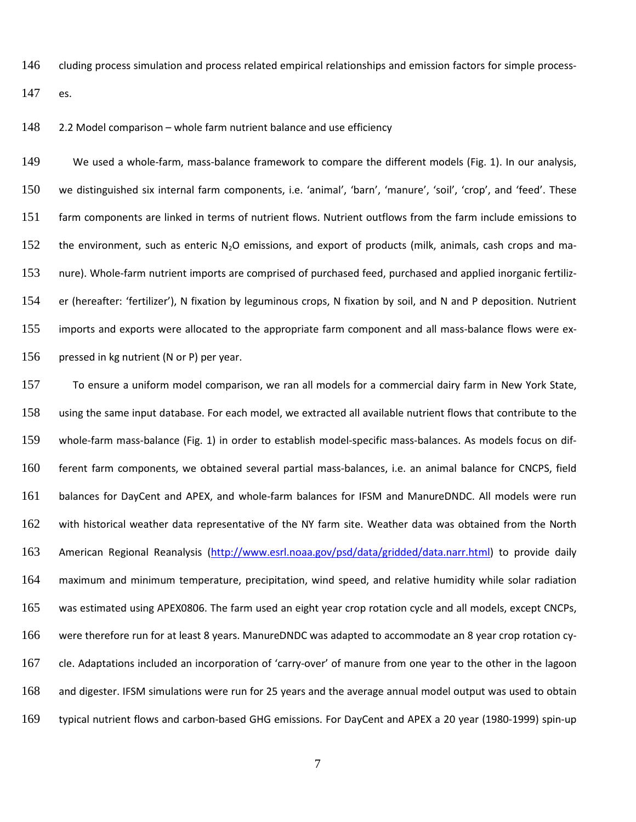cluding process simulation and process related empirical relationships and emission factors for simple process-

es.

2.2 Model comparison – whole farm nutrient balance and use efficiency

 We used a whole-farm, mass-balance framework to compare the different models (Fig. 1). In our analysis, we distinguished six internal farm components, i.e. 'animal', 'barn', 'manure', 'soil', 'crop', and 'feed'. These farm components are linked in terms of nutrient flows. Nutrient outflows from the farm include emissions to 152 the environment, such as enteric  $N_2O$  emissions, and export of products (milk, animals, cash crops and ma- nure). Whole-farm nutrient imports are comprised of purchased feed, purchased and applied inorganic fertiliz- er (hereafter: 'fertilizer'), N fixation by leguminous crops, N fixation by soil, and N and P deposition. Nutrient imports and exports were allocated to the appropriate farm component and all mass-balance flows were ex-156 pressed in kg nutrient (N or P) per year.

 To ensure a uniform model comparison, we ran all models for a commercial dairy farm in New York State, using the same input database. For each model, we extracted all available nutrient flows that contribute to the whole-farm mass-balance (Fig. 1) in order to establish model-specific mass-balances. As models focus on dif- ferent farm components, we obtained several partial mass-balances, i.e. an animal balance for CNCPS, field balances for DayCent and APEX, and whole-farm balances for IFSM and ManureDNDC. All models were run with historical weather data representative of the NY farm site. Weather data was obtained from the North American Regional Reanalysis [\(http://www.esrl.noaa.gov/psd/data/gridded/data.narr.html\)](http://www.esrl.noaa.gov/psd/data/gridded/data.narr.html) to provide daily maximum and minimum temperature, precipitation, wind speed, and relative humidity while solar radiation was estimated using APEX0806. The farm used an eight year crop rotation cycle and all models, except CNCPs, were therefore run for at least 8 years. ManureDNDC was adapted to accommodate an 8 year crop rotation cy- cle. Adaptations included an incorporation of 'carry-over' of manure from one year to the other in the lagoon and digester. IFSM simulations were run for 25 years and the average annual model output was used to obtain typical nutrient flows and carbon-based GHG emissions. For DayCent and APEX a 20 year (1980-1999) spin-up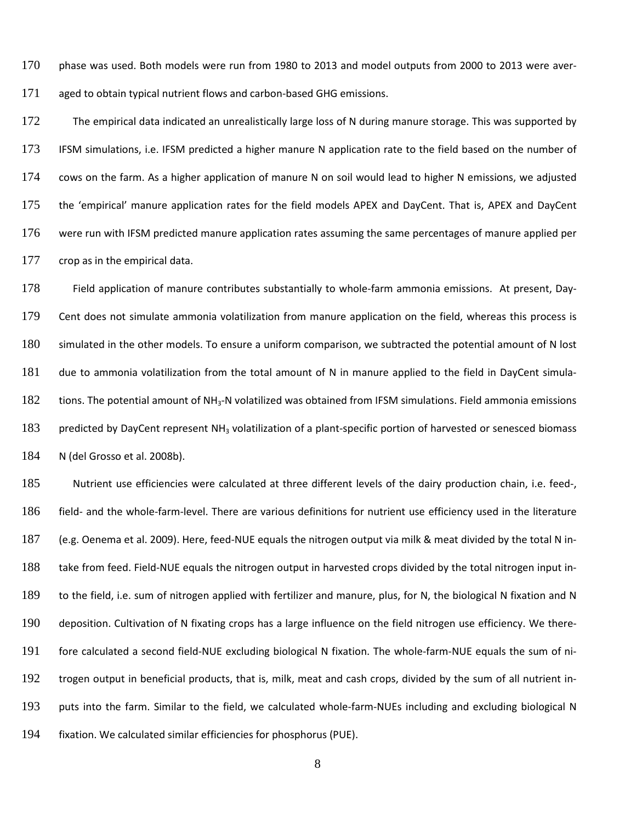phase was used. Both models were run from 1980 to 2013 and model outputs from 2000 to 2013 were aver-aged to obtain typical nutrient flows and carbon-based GHG emissions.

172 The empirical data indicated an unrealistically large loss of N during manure storage. This was supported by IFSM simulations, i.e. IFSM predicted a higher manure N application rate to the field based on the number of cows on the farm. As a higher application of manure N on soil would lead to higher N emissions, we adjusted the 'empirical' manure application rates for the field models APEX and DayCent. That is, APEX and DayCent were run with IFSM predicted manure application rates assuming the same percentages of manure applied per 177 crop as in the empirical data.

 Field application of manure contributes substantially to whole-farm ammonia emissions. At present, Day- Cent does not simulate ammonia volatilization from manure application on the field, whereas this process is simulated in the other models. To ensure a uniform comparison, we subtracted the potential amount of N lost due to ammonia volatilization from the total amount of N in manure applied to the field in DayCent simula-182 tions. The potential amount of NH<sub>3</sub>-N volatilized was obtained from IFSM simulations. Field ammonia emissions 183 predicted by DayCent represent NH<sub>3</sub> volatilization of a plant-specific portion of harvested or senesced biomass N (del Grosso et al. 2008b).

 Nutrient use efficiencies were calculated at three different levels of the dairy production chain, i.e. feed-, field- and the whole-farm-level. There are various definitions for nutrient use efficiency used in the literature (e.g. Oenema et al. 2009). Here, feed-NUE equals the nitrogen output via milk & meat divided by the total N in- take from feed. Field-NUE equals the nitrogen output in harvested crops divided by the total nitrogen input in- to the field, i.e. sum of nitrogen applied with fertilizer and manure, plus, for N, the biological N fixation and N deposition. Cultivation of N fixating crops has a large influence on the field nitrogen use efficiency. We there- fore calculated a second field-NUE excluding biological N fixation. The whole-farm-NUE equals the sum of ni- trogen output in beneficial products, that is, milk, meat and cash crops, divided by the sum of all nutrient in- puts into the farm. Similar to the field, we calculated whole-farm-NUEs including and excluding biological N fixation. We calculated similar efficiencies for phosphorus (PUE).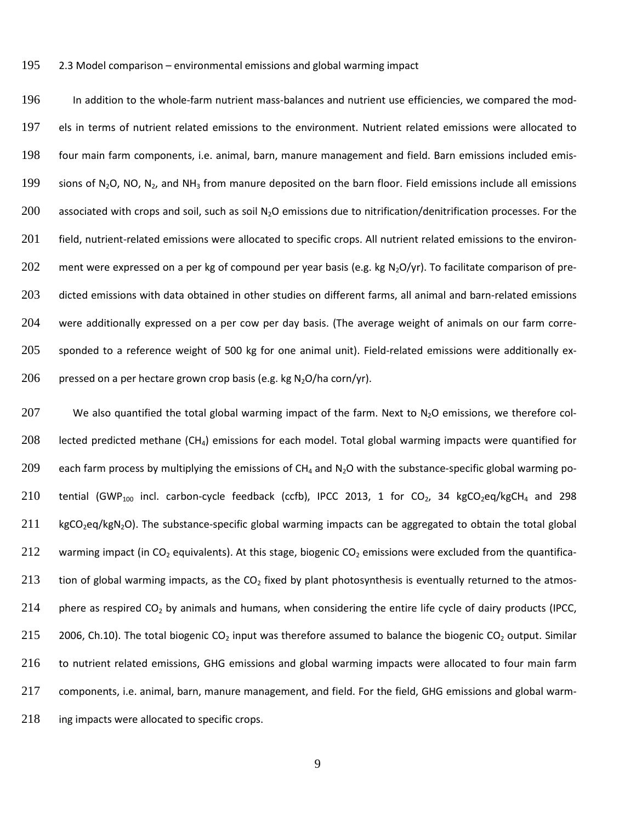195 2.3 Model comparison – environmental emissions and global warming impact

196 In addition to the whole-farm nutrient mass-balances and nutrient use efficiencies, we compared the mod-197 els in terms of nutrient related emissions to the environment. Nutrient related emissions were allocated to 198 four main farm components, i.e. animal, barn, manure management and field. Barn emissions included emis-199 sions of N<sub>2</sub>O, NO, N<sub>2</sub>, and NH<sub>3</sub> from manure deposited on the barn floor. Field emissions include all emissions 200 associated with crops and soil, such as soil  $N_2O$  emissions due to nitrification/denitrification processes. For the 201 field, nutrient-related emissions were allocated to specific crops. All nutrient related emissions to the environ-202 ment were expressed on a per kg of compound per year basis (e.g. kg N<sub>2</sub>O/yr). To facilitate comparison of pre-203 dicted emissions with data obtained in other studies on different farms, all animal and barn-related emissions 204 were additionally expressed on a per cow per day basis. (The average weight of animals on our farm corre-205 sponded to a reference weight of 500 kg for one animal unit). Field-related emissions were additionally ex-206 pressed on a per hectare grown crop basis (e.g. kg  $N_2O/h$ a corn/yr).

207 We also quantified the total global warming impact of the farm. Next to  $N_2O$  emissions, we therefore col-208 lected predicted methane (CH4) emissions for each model. Total global warming impacts were quantified for 209 each farm process by multiplying the emissions of  $CH_4$  and N<sub>2</sub>O with the substance-specific global warming po-210 tential (GWP<sub>100</sub> incl. carbon-cycle feedback (ccfb), IPCC 2013, 1 for CO<sub>2</sub>, 34 kgCO<sub>2</sub>eq/kgCH<sub>4</sub> and 298  $211$  kgCO<sub>2</sub>eq/kgN<sub>2</sub>O). The substance-specific global warming impacts can be aggregated to obtain the total global 212 warming impact (in CO<sub>2</sub> equivalents). At this stage, biogenic CO<sub>2</sub> emissions were excluded from the quantifica-213 tion of global warming impacts, as the  $CO<sub>2</sub>$  fixed by plant photosynthesis is eventually returned to the atmos-214 phere as respired  $CO<sub>2</sub>$  by animals and humans, when considering the entire life cycle of dairy products (IPCC, 215 2006, Ch.10). The total biogenic CO<sub>2</sub> input was therefore assumed to balance the biogenic CO<sub>2</sub> output. Similar 216 to nutrient related emissions, GHG emissions and global warming impacts were allocated to four main farm 217 components, i.e. animal, barn, manure management, and field. For the field, GHG emissions and global warm-218 ing impacts were allocated to specific crops.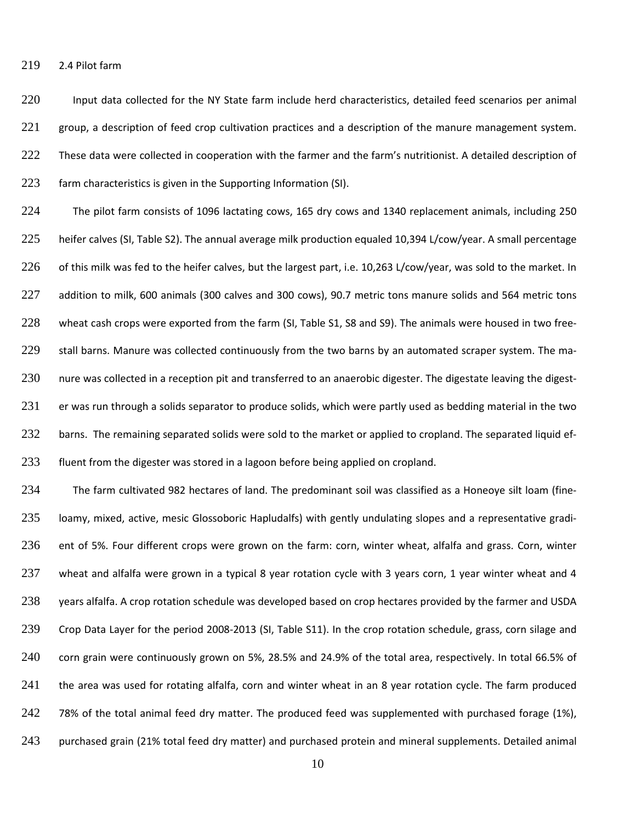219 2.4 Pilot farm

220 Input data collected for the NY State farm include herd characteristics, detailed feed scenarios per animal 221 group, a description of feed crop cultivation practices and a description of the manure management system. 222 These data were collected in cooperation with the farmer and the farm's nutritionist. A detailed description of 223 farm characteristics is given in the Supporting Information (SI).

224 The pilot farm consists of 1096 lactating cows, 165 dry cows and 1340 replacement animals, including 250 225 heifer calves (SI, Table S2). The annual average milk production equaled 10,394 L/cow/year. A small percentage 226 of this milk was fed to the heifer calves, but the largest part, i.e. 10,263 L/cow/year, was sold to the market. In 227 addition to milk, 600 animals (300 calves and 300 cows), 90.7 metric tons manure solids and 564 metric tons 228 wheat cash crops were exported from the farm (SI, Table S1, S8 and S9). The animals were housed in two free-229 stall barns. Manure was collected continuously from the two barns by an automated scraper system. The ma-230 nure was collected in a reception pit and transferred to an anaerobic digester. The digestate leaving the digest-231 er was run through a solids separator to produce solids, which were partly used as bedding material in the two 232 barns. The remaining separated solids were sold to the market or applied to cropland. The separated liquid ef-233 fluent from the digester was stored in a lagoon before being applied on cropland.

234 The farm cultivated 982 hectares of land. The predominant soil was classified as a Honeoye silt loam (fine-235 loamy, mixed, active, mesic Glossoboric Hapludalfs) with gently undulating slopes and a representative gradi-236 ent of 5%. Four different crops were grown on the farm: corn, winter wheat, alfalfa and grass. Corn, winter 237 wheat and alfalfa were grown in a typical 8 year rotation cycle with 3 years corn, 1 year winter wheat and 4 238 years alfalfa. A crop rotation schedule was developed based on crop hectares provided by the farmer and USDA 239 Crop Data Layer for the period 2008-2013 (SI, Table S11). In the crop rotation schedule, grass, corn silage and 240 corn grain were continuously grown on 5%, 28.5% and 24.9% of the total area, respectively. In total 66.5% of 241 the area was used for rotating alfalfa, corn and winter wheat in an 8 year rotation cycle. The farm produced 242 78% of the total animal feed dry matter. The produced feed was supplemented with purchased forage (1%), 243 purchased grain (21% total feed dry matter) and purchased protein and mineral supplements. Detailed animal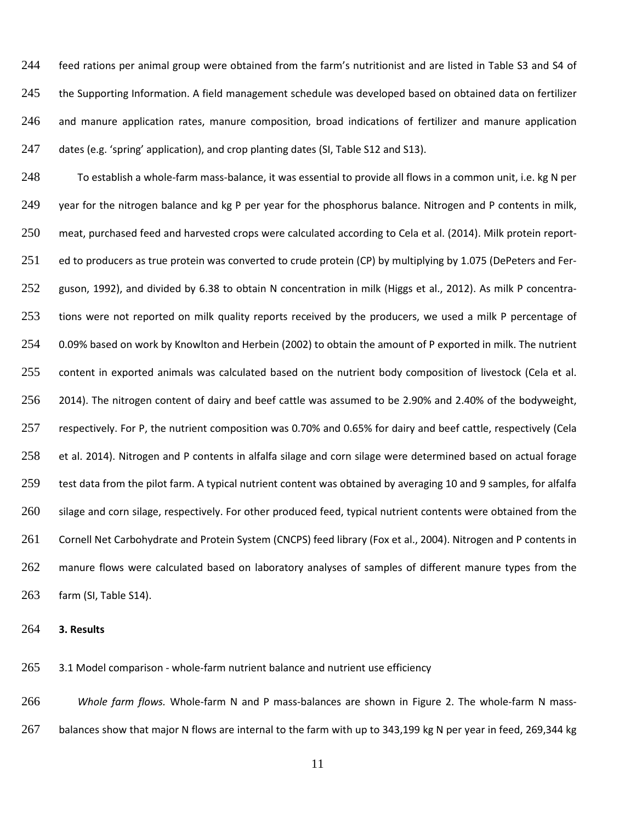feed rations per animal group were obtained from the farm's nutritionist and are listed in Table S3 and S4 of 245 the Supporting Information. A field management schedule was developed based on obtained data on fertilizer and manure application rates, manure composition, broad indications of fertilizer and manure application dates (e.g. 'spring' application), and crop planting dates (SI, Table S12 and S13).

 To establish a whole-farm mass-balance, it was essential to provide all flows in a common unit, i.e. kg N per 249 year for the nitrogen balance and kg P per year for the phosphorus balance. Nitrogen and P contents in milk, meat, purchased feed and harvested crops were calculated according to Cela et al. (2014). Milk protein report-251 ed to producers as true protein was converted to crude protein (CP) by multiplying by 1.075 (DePeters and Fer-252 guson, 1992), and divided by 6.38 to obtain N concentration in milk (Higgs et al., 2012). As milk P concentra- tions were not reported on milk quality reports received by the producers, we used a milk P percentage of 0.09% based on work by Knowlton and Herbein (2002) to obtain the amount of P exported in milk. The nutrient 255 content in exported animals was calculated based on the nutrient body composition of livestock (Cela et al. 2014). The nitrogen content of dairy and beef cattle was assumed to be 2.90% and 2.40% of the bodyweight, respectively. For P, the nutrient composition was 0.70% and 0.65% for dairy and beef cattle, respectively (Cela et al. 2014). Nitrogen and P contents in alfalfa silage and corn silage were determined based on actual forage test data from the pilot farm. A typical nutrient content was obtained by averaging 10 and 9 samples, for alfalfa silage and corn silage, respectively. For other produced feed, typical nutrient contents were obtained from the Cornell Net Carbohydrate and Protein System (CNCPS) feed library (Fox et al., 2004). Nitrogen and P contents in manure flows were calculated based on laboratory analyses of samples of different manure types from the farm (SI, Table S14).

**3. Results**

265 3.1 Model comparison - whole-farm nutrient balance and nutrient use efficiency

 *Whole farm flows.* Whole-farm N and P mass-balances are shown in Figure 2. The whole-farm N mass-balances show that major N flows are internal to the farm with up to 343,199 kg N per year in feed, 269,344 kg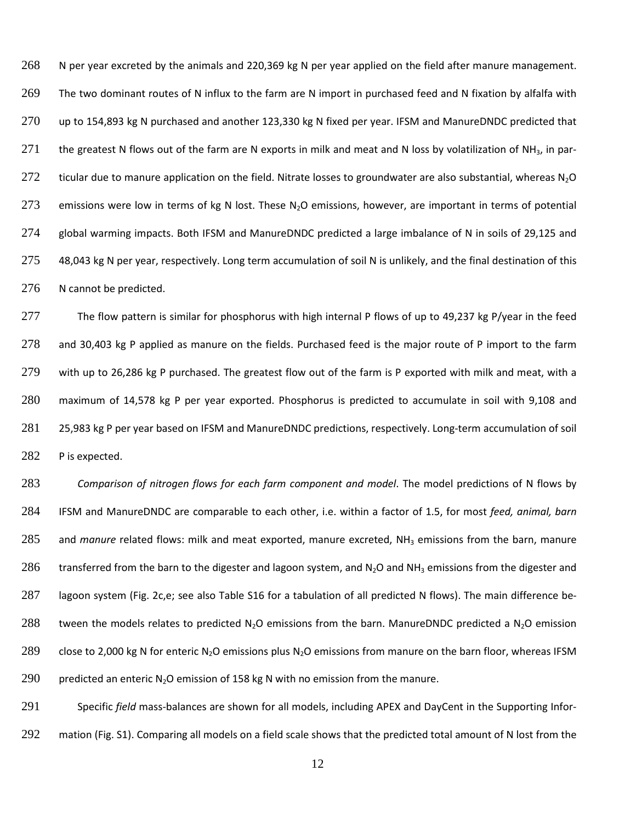268 N per year excreted by the animals and 220,369 kg N per year applied on the field after manure management. 269 The two dominant routes of N influx to the farm are N import in purchased feed and N fixation by alfalfa with 270 up to 154,893 kg N purchased and another 123,330 kg N fixed per year. IFSM and ManureDNDC predicted that 271 the greatest N flows out of the farm are N exports in milk and meat and N loss by volatilization of NH<sub>3</sub>, in par-272 ticular due to manure application on the field. Nitrate losses to groundwater are also substantial, whereas  $N_2O$ 273 emissions were low in terms of kg N lost. These N<sub>2</sub>O emissions, however, are important in terms of potential 274 global warming impacts. Both IFSM and ManureDNDC predicted a large imbalance of N in soils of 29,125 and 275 48,043 kg N per year, respectively. Long term accumulation of soil N is unlikely, and the final destination of this 276 N cannot be predicted.

 The flow pattern is similar for phosphorus with high internal P flows of up to 49,237 kg P/year in the feed and 30,403 kg P applied as manure on the fields. Purchased feed is the major route of P import to the farm with up to 26,286 kg P purchased. The greatest flow out of the farm is P exported with milk and meat, with a maximum of 14,578 kg P per year exported. Phosphorus is predicted to accumulate in soil with 9,108 and 25,983 kg P per year based on IFSM and ManureDNDC predictions, respectively. Long-term accumulation of soil P is expected.

283 *Comparison of nitrogen flows for each farm component and model*. The model predictions of N flows by 284 IFSM and ManureDNDC are comparable to each other, i.e. within a factor of 1.5, for most *feed, animal, barn* 285 and *manure* related flows: milk and meat exported, manure excreted, NH<sub>3</sub> emissions from the barn, manure 286 transferred from the barn to the digester and lagoon system, and N<sub>2</sub>O and NH<sub>3</sub> emissions from the digester and 287 lagoon system (Fig. 2c,e; see also Table S16 for a tabulation of all predicted N flows). The main difference be-288 tween the models relates to predicted N<sub>2</sub>O emissions from the barn. ManureDNDC predicted a N<sub>2</sub>O emission 289 close to 2,000 kg N for enteric N<sub>2</sub>O emissions plus N<sub>2</sub>O emissions from manure on the barn floor, whereas IFSM 290 predicted an enteric N<sub>2</sub>O emission of 158 kg N with no emission from the manure.

291 Specific *field* mass-balances are shown for all models, including APEX and DayCent in the Supporting Infor-292 mation (Fig. S1). Comparing all models on a field scale shows that the predicted total amount of N lost from the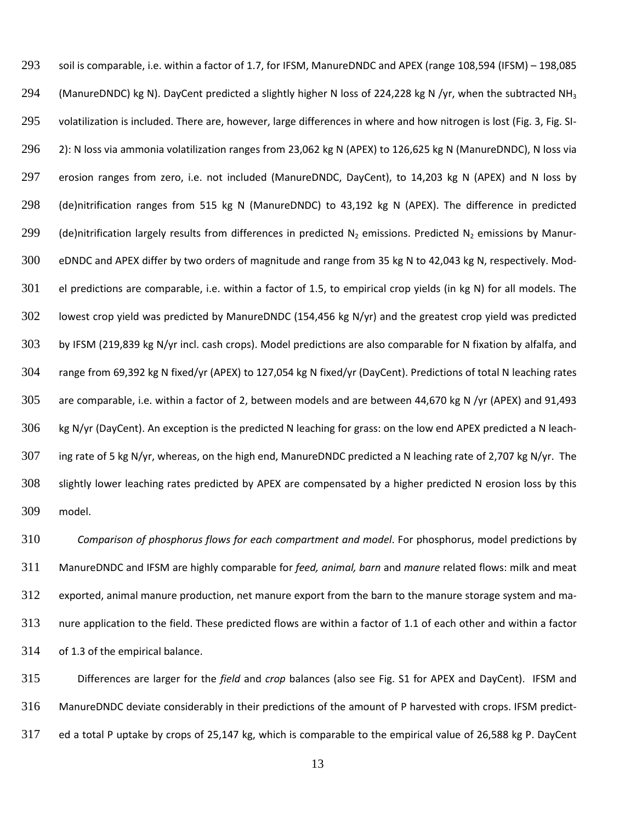soil is comparable, i.e. within a factor of 1.7, for IFSM, ManureDNDC and APEX (range 108,594 (IFSM) – 198,085 294 (ManureDNDC) kg N). DayCent predicted a slightly higher N loss of 224,228 kg N /yr, when the subtracted NH<sub>3</sub> volatilization is included. There are, however, large differences in where and how nitrogen is lost (Fig. 3, Fig. SI- 2): N loss via ammonia volatilization ranges from 23,062 kg N (APEX) to 126,625 kg N (ManureDNDC), N loss via erosion ranges from zero, i.e. not included (ManureDNDC, DayCent), to 14,203 kg N (APEX) and N loss by (de)nitrification ranges from 515 kg N (ManureDNDC) to 43,192 kg N (APEX). The difference in predicted 299 (de)nitrification largely results from differences in predicted N<sub>2</sub> emissions. Predicted N<sub>2</sub> emissions by Manur- eDNDC and APEX differ by two orders of magnitude and range from 35 kg N to 42,043 kg N, respectively. Mod- el predictions are comparable, i.e. within a factor of 1.5, to empirical crop yields (in kg N) for all models. The lowest crop yield was predicted by ManureDNDC (154,456 kg N/yr) and the greatest crop yield was predicted by IFSM (219,839 kg N/yr incl. cash crops). Model predictions are also comparable for N fixation by alfalfa, and range from 69,392 kg N fixed/yr (APEX) to 127,054 kg N fixed/yr (DayCent). Predictions of total N leaching rates are comparable, i.e. within a factor of 2, between models and are between 44,670 kg N /yr (APEX) and 91,493 kg N/yr (DayCent). An exception is the predicted N leaching for grass: on the low end APEX predicted a N leach- ing rate of 5 kg N/yr, whereas, on the high end, ManureDNDC predicted a N leaching rate of 2,707 kg N/yr. The slightly lower leaching rates predicted by APEX are compensated by a higher predicted N erosion loss by this model.

 *Comparison of phosphorus flows for each compartment and model*. For phosphorus, model predictions by ManureDNDC and IFSM are highly comparable for *feed, animal, barn* and *manure* related flows: milk and meat exported, animal manure production, net manure export from the barn to the manure storage system and ma- nure application to the field. These predicted flows are within a factor of 1.1 of each other and within a factor of 1.3 of the empirical balance.

 Differences are larger for the *field* and *crop* balances (also see Fig. S1 for APEX and DayCent). IFSM and ManureDNDC deviate considerably in their predictions of the amount of P harvested with crops. IFSM predict-ed a total P uptake by crops of 25,147 kg, which is comparable to the empirical value of 26,588 kg P. DayCent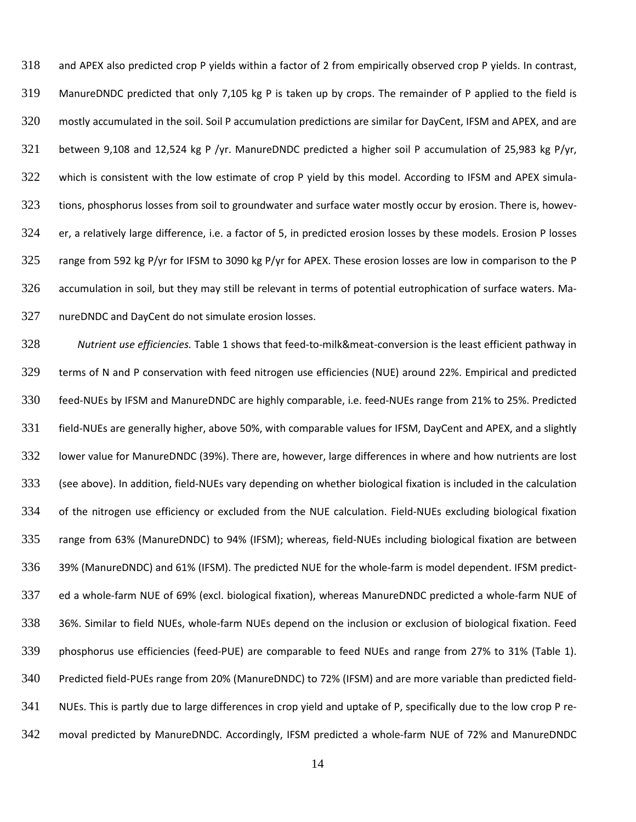and APEX also predicted crop P yields within a factor of 2 from empirically observed crop P yields. In contrast, ManureDNDC predicted that only 7,105 kg P is taken up by crops. The remainder of P applied to the field is mostly accumulated in the soil. Soil P accumulation predictions are similar for DayCent, IFSM and APEX, and are between 9,108 and 12,524 kg P /yr. ManureDNDC predicted a higher soil P accumulation of 25,983 kg P/yr, which is consistent with the low estimate of crop P yield by this model. According to IFSM and APEX simula-323 tions, phosphorus losses from soil to groundwater and surface water mostly occur by erosion. There is, howev- er, a relatively large difference, i.e. a factor of 5, in predicted erosion losses by these models. Erosion P losses range from 592 kg P/yr for IFSM to 3090 kg P/yr for APEX. These erosion losses are low in comparison to the P accumulation in soil, but they may still be relevant in terms of potential eutrophication of surface waters. Ma-nureDNDC and DayCent do not simulate erosion losses.

 *Nutrient use efficiencies.* Table 1 shows that feed-to-milk&meat-conversion is the least efficient pathway in terms of N and P conservation with feed nitrogen use efficiencies (NUE) around 22%. Empirical and predicted feed-NUEs by IFSM and ManureDNDC are highly comparable, i.e. feed-NUEs range from 21% to 25%. Predicted field-NUEs are generally higher, above 50%, with comparable values for IFSM, DayCent and APEX, and a slightly lower value for ManureDNDC (39%). There are, however, large differences in where and how nutrients are lost (see above). In addition, field-NUEs vary depending on whether biological fixation is included in the calculation of the nitrogen use efficiency or excluded from the NUE calculation. Field-NUEs excluding biological fixation range from 63% (ManureDNDC) to 94% (IFSM); whereas, field-NUEs including biological fixation are between 39% (ManureDNDC) and 61% (IFSM). The predicted NUE for the whole-farm is model dependent. IFSM predict- ed a whole-farm NUE of 69% (excl. biological fixation), whereas ManureDNDC predicted a whole-farm NUE of 36%. Similar to field NUEs, whole-farm NUEs depend on the inclusion or exclusion of biological fixation. Feed phosphorus use efficiencies (feed-PUE) are comparable to feed NUEs and range from 27% to 31% (Table 1). Predicted field-PUEs range from 20% (ManureDNDC) to 72% (IFSM) and are more variable than predicted field- NUEs. This is partly due to large differences in crop yield and uptake of P, specifically due to the low crop P re-moval predicted by ManureDNDC. Accordingly, IFSM predicted a whole-farm NUE of 72% and ManureDNDC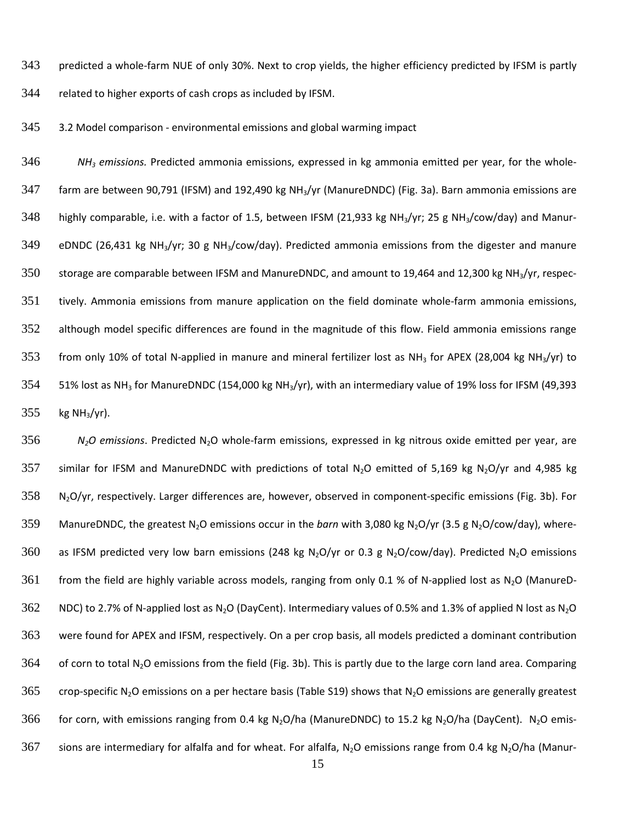343 predicted a whole-farm NUE of only 30%. Next to crop yields, the higher efficiency predicted by IFSM is partly

344 related to higher exports of cash crops as included by IFSM.

345 3.2 Model comparison - environmental emissions and global warming impact

346 *NH3 emissions.* Predicted ammonia emissions, expressed in kg ammonia emitted per year, for the whole-347 farm are between 90,791 (IFSM) and 192,490 kg NH3/yr (ManureDNDC) (Fig. 3a). Barn ammonia emissions are 348 highly comparable, i.e. with a factor of 1.5, between IFSM (21,933 kg NH<sub>3</sub>/yr; 25 g NH<sub>3</sub>/cow/day) and Manur-349 eDNDC (26,431 kg NH3/yr; 30 g NH3/cow/day). Predicted ammonia emissions from the digester and manure 350 storage are comparable between IFSM and ManureDNDC, and amount to 19,464 and 12,300 kg NH<sub>3</sub>/yr, respec-351 tively. Ammonia emissions from manure application on the field dominate whole-farm ammonia emissions, 352 although model specific differences are found in the magnitude of this flow. Field ammonia emissions range 353 from only 10% of total N-applied in manure and mineral fertilizer lost as NH<sub>3</sub> for APEX (28,004 kg NH<sub>3</sub>/yr) to 354 51% lost as NH<sub>3</sub> for ManureDNDC (154,000 kg NH<sub>3</sub>/yr), with an intermediary value of 19% loss for IFSM (49,393  $355$  kg NH<sub>3</sub>/yr).

356 *N2O emissions*. Predicted N2O whole-farm emissions, expressed in kg nitrous oxide emitted per year, are 357 similar for IFSM and ManureDNDC with predictions of total N<sub>2</sub>O emitted of 5,169 kg N<sub>2</sub>O/yr and 4,985 kg  $358$  N<sub>2</sub>O/yr, respectively. Larger differences are, however, observed in component-specific emissions (Fig. 3b). For 359 ManureDNDC, the greatest N<sub>2</sub>O emissions occur in the *barn* with 3,080 kg N<sub>2</sub>O/yr (3.5 g N<sub>2</sub>O/cow/day), where-360 as IFSM predicted very low barn emissions (248 kg N<sub>2</sub>O/yr or 0.3 g N<sub>2</sub>O/cow/day). Predicted N<sub>2</sub>O emissions 361 from the field are highly variable across models, ranging from only 0.1 % of N-applied lost as N<sub>2</sub>O (ManureD-362 NDC) to 2.7% of N-applied lost as N<sub>2</sub>O (DayCent). Intermediary values of 0.5% and 1.3% of applied N lost as N<sub>2</sub>O 363 were found for APEX and IFSM, respectively. On a per crop basis, all models predicted a dominant contribution  $364$  of corn to total N<sub>2</sub>O emissions from the field (Fig. 3b). This is partly due to the large corn land area. Comparing 365 crop-specific N<sub>2</sub>O emissions on a per hectare basis (Table S19) shows that N<sub>2</sub>O emissions are generally greatest 366 for corn, with emissions ranging from 0.4 kg N<sub>2</sub>O/ha (ManureDNDC) to 15.2 kg N<sub>2</sub>O/ha (DayCent). N<sub>2</sub>O emis-367 sions are intermediary for alfalfa and for wheat. For alfalfa, N<sub>2</sub>O emissions range from 0.4 kg N<sub>2</sub>O/ha (Manur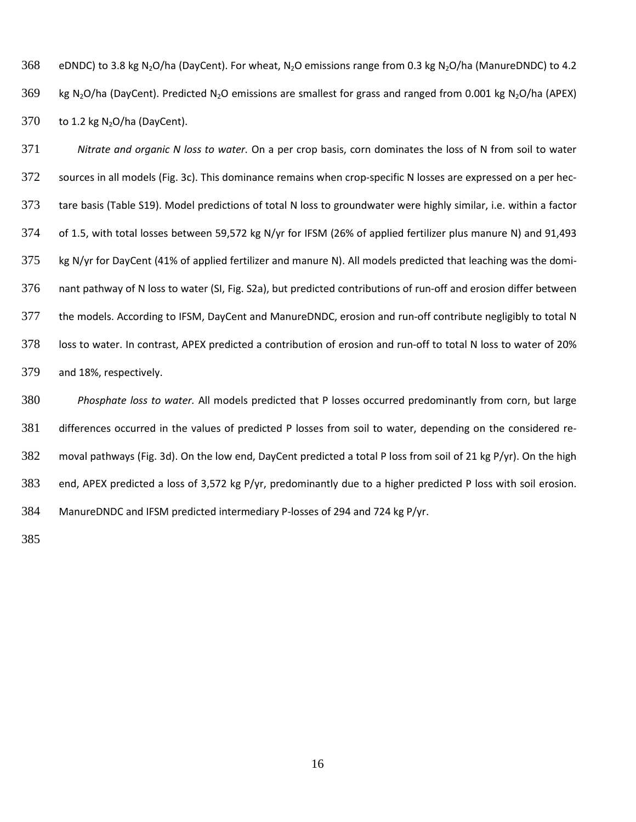368 eDNDC) to 3.8 kg N<sub>2</sub>O/ha (DayCent). For wheat, N<sub>2</sub>O emissions range from 0.3 kg N<sub>2</sub>O/ha (ManureDNDC) to 4.2 kg N<sub>2</sub>O/ha (DayCent). Predicted N<sub>2</sub>O emissions are smallest for grass and ranged from 0.001 kg N<sub>2</sub>O/ha (APEX) to 1.2 kg N<sub>2</sub>O/ha (DayCent).

 *Nitrate and organic N loss to water.* On a per crop basis, corn dominates the loss of N from soil to water sources in all models (Fig. 3c). This dominance remains when crop-specific N losses are expressed on a per hec- tare basis (Table S19). Model predictions of total N loss to groundwater were highly similar, i.e. within a factor of 1.5, with total losses between 59,572 kg N/yr for IFSM (26% of applied fertilizer plus manure N) and 91,493 kg N/yr for DayCent (41% of applied fertilizer and manure N). All models predicted that leaching was the domi- nant pathway of N loss to water (SI, Fig. S2a), but predicted contributions of run-off and erosion differ between the models. According to IFSM, DayCent and ManureDNDC, erosion and run-off contribute negligibly to total N loss to water. In contrast, APEX predicted a contribution of erosion and run-off to total N loss to water of 20% and 18%, respectively.

 *Phosphate loss to water.* All models predicted that P losses occurred predominantly from corn, but large differences occurred in the values of predicted P losses from soil to water, depending on the considered re- moval pathways (Fig. 3d). On the low end, DayCent predicted a total P loss from soil of 21 kg P/yr). On the high end, APEX predicted a loss of 3,572 kg P/yr, predominantly due to a higher predicted P loss with soil erosion. ManureDNDC and IFSM predicted intermediary P-losses of 294 and 724 kg P/yr.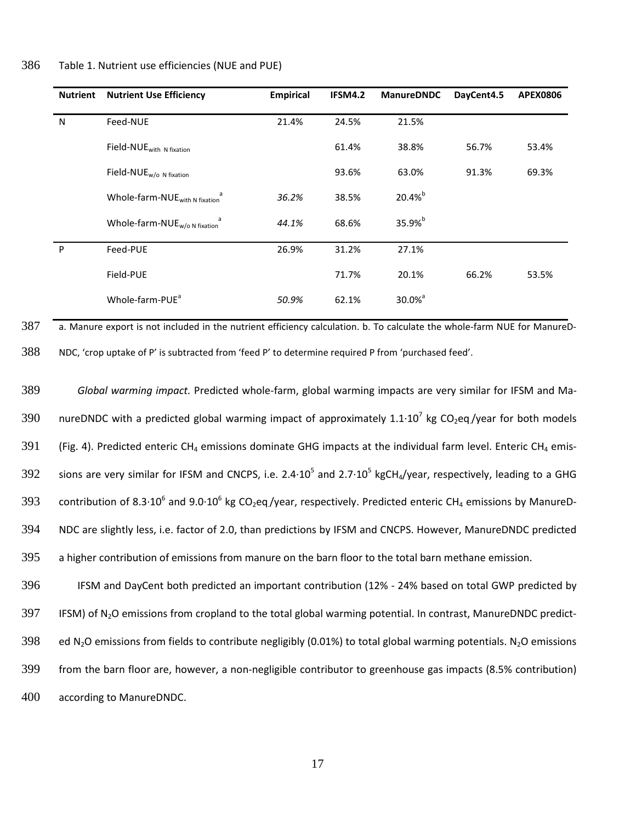| 386 | Table 1. Nutrient use efficiencies (NUE and PUE) |  |
|-----|--------------------------------------------------|--|
|-----|--------------------------------------------------|--|

| <b>Nutrient</b> | <b>Nutrient Use Efficiency</b>             | <b>Empirical</b> | IFSM4.2 | <b>ManureDNDC</b>  | DayCent4.5 | <b>APEX0806</b> |
|-----------------|--------------------------------------------|------------------|---------|--------------------|------------|-----------------|
| N               | Feed-NUE                                   | 21.4%            | 24.5%   | 21.5%              |            |                 |
|                 | Field-NUE <sub>with N fixation</sub>       |                  | 61.4%   | 38.8%              | 56.7%      | 53.4%           |
|                 | Field-NUE <sub>w/o N fixation</sub>        |                  | 93.6%   | 63.0%              | 91.3%      | 69.3%           |
|                 | Whole-farm-NUE <sub>with N fixation</sub>  | 36.2%            | 38.5%   | $20.4%^{b}$        |            |                 |
|                 | Whole-farm-NUE $_{w/o\,N\text{ fixation}}$ | 44.1%            | 68.6%   | 35.9%b             |            |                 |
| P               | Feed-PUE                                   | 26.9%            | 31.2%   | 27.1%              |            |                 |
|                 | Field-PUE                                  |                  | 71.7%   | 20.1%              | 66.2%      | 53.5%           |
|                 | Whole-farm-PUE <sup>a</sup>                | 50.9%            | 62.1%   | 30.0% <sup>a</sup> |            |                 |

 $387$  a. Manure export is not included in the nutrient efficiency calculation. b. To calculate the whole-farm NUE for ManureD-388 NDC, 'crop uptake of P' is subtracted from 'feed P' to determine required P from 'purchased feed'.

389 *Global warming impact.* Predicted whole-farm, global warming impacts are very similar for IFSM and Ma-390 nureDNDC with a predicted global warming impact of approximately 1.1 $\cdot$ 10<sup>7</sup> kg CO<sub>2</sub>eq./year for both models 391 (Fig. 4). Predicted enteric CH<sub>4</sub> emissions dominate GHG impacts at the individual farm level. Enteric CH<sub>4</sub> emis-392 sions are very similar for IFSM and CNCPS, i.e. 2.4 $\cdot 10^5$  and 2.7 $\cdot 10^5$  kgCH<sub>4</sub>/year, respectively, leading to a GHG 393 contribution of 8.3 $\cdot$ 10<sup>6</sup> and 9.0 $\cdot$ 10<sup>6</sup> kg CO<sub>2</sub>eq/year, respectively. Predicted enteric CH<sub>4</sub> emissions by ManureD-394 NDC are slightly less, i.e. factor of 2.0, than predictions by IFSM and CNCPS. However, ManureDNDC predicted 395 a higher contribution of emissions from manure on the barn floor to the total barn methane emission.

396 IFSM and DayCent both predicted an important contribution (12% - 24% based on total GWP predicted by 397 IFSM) of N<sub>2</sub>O emissions from cropland to the total global warming potential. In contrast, ManureDNDC predict-398 ed N<sub>2</sub>O emissions from fields to contribute negligibly (0.01%) to total global warming potentials. N<sub>2</sub>O emissions 399 from the barn floor are, however, a non-negligible contributor to greenhouse gas impacts (8.5% contribution) 400 according to ManureDNDC.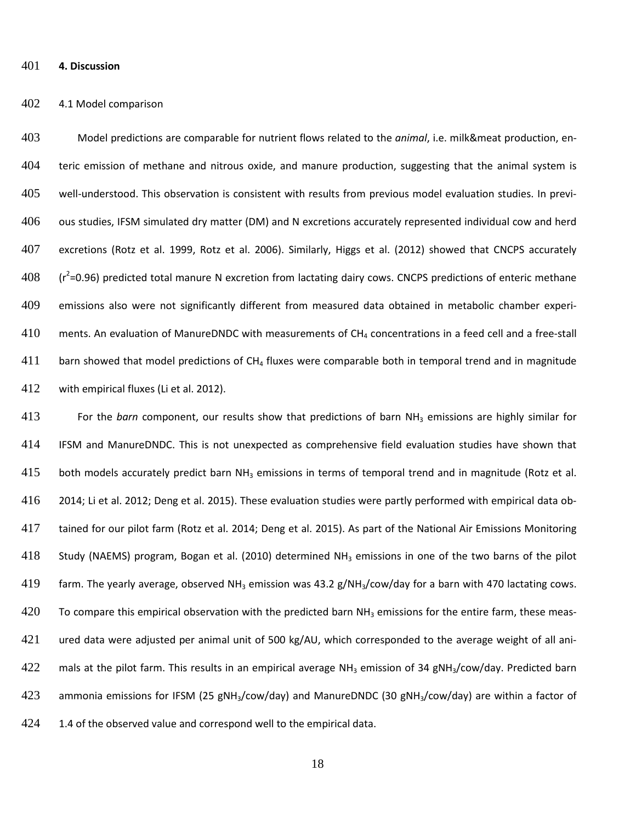**4. Discussion**

#### 4.1 Model comparison

 Model predictions are comparable for nutrient flows related to the *animal*, i.e. milk&meat production, en- teric emission of methane and nitrous oxide, and manure production, suggesting that the animal system is well-understood. This observation is consistent with results from previous model evaluation studies. In previ-406 ous studies, IFSM simulated dry matter (DM) and N excretions accurately represented individual cow and herd excretions (Rotz et al. 1999, Rotz et al. 2006). Similarly, Higgs et al. (2012) showed that CNCPS accurately  $(108)$   $(r^2=0.96)$  predicted total manure N excretion from lactating dairy cows. CNCPS predictions of enteric methane emissions also were not significantly different from measured data obtained in metabolic chamber experi- ments. An evaluation of ManureDNDC with measurements of CH<sub>4</sub> concentrations in a feed cell and a free-stall barn showed that model predictions of CH<sub>4</sub> fluxes were comparable both in temporal trend and in magnitude with empirical fluxes (Li et al. 2012).

 For the *barn* component, our results show that predictions of barn NH3 emissions are highly similar for IFSM and ManureDNDC. This is not unexpected as comprehensive field evaluation studies have shown that 415 both models accurately predict barn NH<sub>3</sub> emissions in terms of temporal trend and in magnitude (Rotz et al. 2014; Li et al. 2012; Deng et al. 2015). These evaluation studies were partly performed with empirical data ob- tained for our pilot farm (Rotz et al. 2014; Deng et al. 2015). As part of the National Air Emissions Monitoring 418 Study (NAEMS) program, Bogan et al. (2010) determined NH<sub>3</sub> emissions in one of the two barns of the pilot 419 farm. The yearly average, observed NH<sub>3</sub> emission was 43.2 g/NH<sub>3</sub>/cow/day for a barn with 470 lactating cows. 420 To compare this empirical observation with the predicted barn  $NH<sub>3</sub>$  emissions for the entire farm, these meas- ured data were adjusted per animal unit of 500 kg/AU, which corresponded to the average weight of all ani-422 mals at the pilot farm. This results in an empirical average NH<sub>3</sub> emission of 34 gNH<sub>3</sub>/cow/day. Predicted barn 423 ammonia emissions for IFSM (25 gNH<sub>3</sub>/cow/day) and ManureDNDC (30 gNH<sub>3</sub>/cow/day) are within a factor of 424 1.4 of the observed value and correspond well to the empirical data.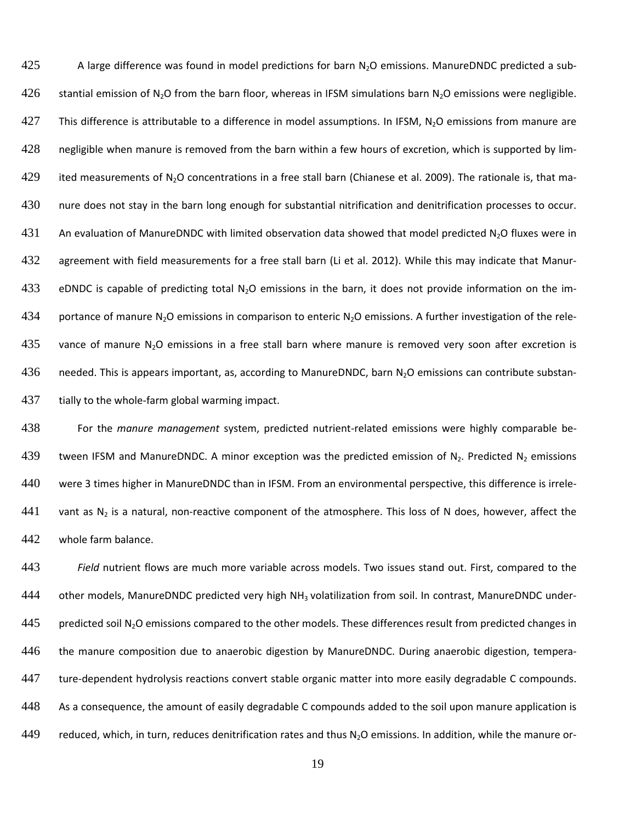425 A large difference was found in model predictions for barn  $N_2O$  emissions. ManureDNDC predicted a sub-426 stantial emission of N<sub>2</sub>O from the barn floor, whereas in IFSM simulations barn N<sub>2</sub>O emissions were negligible. 427 This difference is attributable to a difference in model assumptions. In IFSM, N<sub>2</sub>O emissions from manure are 428 negligible when manure is removed from the barn within a few hours of excretion, which is supported by lim-429 ited measurements of N<sub>2</sub>O concentrations in a free stall barn (Chianese et al. 2009). The rationale is, that ma-430 nure does not stay in the barn long enough for substantial nitrification and denitrification processes to occur. 431 An evaluation of ManureDNDC with limited observation data showed that model predicted N<sub>2</sub>O fluxes were in 432 agreement with field measurements for a free stall barn (Li et al. 2012). While this may indicate that Manur-433 eDNDC is capable of predicting total  $N_2O$  emissions in the barn, it does not provide information on the im-434 portance of manure N<sub>2</sub>O emissions in comparison to enteric N<sub>2</sub>O emissions. A further investigation of the rele-435 vance of manure N<sub>2</sub>O emissions in a free stall barn where manure is removed very soon after excretion is 436 needed. This is appears important, as, according to ManureDNDC, barn  $N_2O$  emissions can contribute substan-437 tially to the whole-farm global warming impact.

438 For the *manure management* system, predicted nutrient-related emissions were highly comparable be-439 tween IFSM and ManureDNDC. A minor exception was the predicted emission of N<sub>2</sub>. Predicted N<sub>2</sub> emissions 440 were 3 times higher in ManureDNDC than in IFSM. From an environmental perspective, this difference is irrele-441 vant as  $N_2$  is a natural, non-reactive component of the atmosphere. This loss of N does, however, affect the 442 whole farm balance.

443 *Field* nutrient flows are much more variable across models. Two issues stand out. First, compared to the 444 other models, ManureDNDC predicted very high NH<sub>3</sub> volatilization from soil. In contrast, ManureDNDC under- $445$  predicted soil N<sub>2</sub>O emissions compared to the other models. These differences result from predicted changes in 446 the manure composition due to anaerobic digestion by ManureDNDC. During anaerobic digestion, tempera-447 ture-dependent hydrolysis reactions convert stable organic matter into more easily degradable C compounds. 448 As a consequence, the amount of easily degradable C compounds added to the soil upon manure application is 449 reduced, which, in turn, reduces denitrification rates and thus  $N_2O$  emissions. In addition, while the manure or-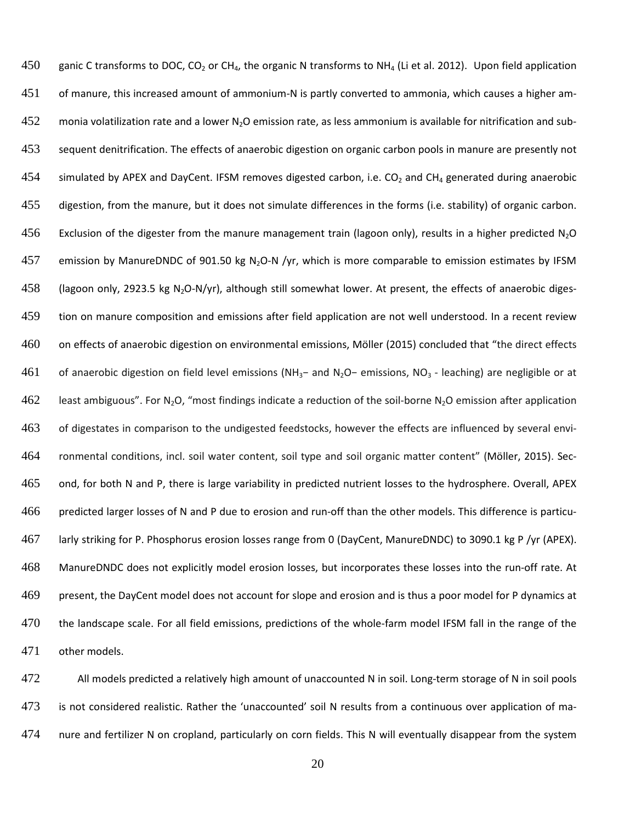450 ganic C transforms to DOC, CO<sub>2</sub> or CH<sub>4</sub>, the organic N transforms to NH<sub>4</sub> (Li et al. 2012). Upon field application of manure, this increased amount of ammonium-N is partly converted to ammonia, which causes a higher am-452 monia volatilization rate and a lower N<sub>2</sub>O emission rate, as less ammonium is available for nitrification and sub- sequent denitrification. The effects of anaerobic digestion on organic carbon pools in manure are presently not 454 simulated by APEX and DayCent. IFSM removes digested carbon, i.e.  $CO<sub>2</sub>$  and CH<sub>4</sub> generated during anaerobic digestion, from the manure, but it does not simulate differences in the forms (i.e. stability) of organic carbon. 456 Exclusion of the digester from the manure management train (lagoon only), results in a higher predicted  $N_2O$ 457 emission by ManureDNDC of 901.50 kg N<sub>2</sub>O-N /yr, which is more comparable to emission estimates by IFSM 458 (lagoon only, 2923.5 kg N<sub>2</sub>O-N/yr), although still somewhat lower. At present, the effects of anaerobic diges- tion on manure composition and emissions after field application are not well understood. In a recent review 460 on effects of anaerobic digestion on environmental emissions, Möller (2015) concluded that "the direct effects of anaerobic digestion on field level emissions (NH3− and N2O− emissions, NO3 - leaching) are negligible or at 462 least ambiguous". For N<sub>2</sub>O, "most findings indicate a reduction of the soil-borne N<sub>2</sub>O emission after application 463 of digestates in comparison to the undigested feedstocks, however the effects are influenced by several envi- ronmental conditions, incl. soil water content, soil type and soil organic matter content" (Mӧller, 2015). Sec- ond, for both N and P, there is large variability in predicted nutrient losses to the hydrosphere. Overall, APEX predicted larger losses of N and P due to erosion and run-off than the other models. This difference is particu- larly striking for P. Phosphorus erosion losses range from 0 (DayCent, ManureDNDC) to 3090.1 kg P /yr (APEX). ManureDNDC does not explicitly model erosion losses, but incorporates these losses into the run-off rate. At present, the DayCent model does not account for slope and erosion and is thus a poor model for P dynamics at the landscape scale. For all field emissions, predictions of the whole-farm model IFSM fall in the range of the other models.

472 All models predicted a relatively high amount of unaccounted N in soil. Long-term storage of N in soil pools is not considered realistic. Rather the 'unaccounted' soil N results from a continuous over application of ma-nure and fertilizer N on cropland, particularly on corn fields. This N will eventually disappear from the system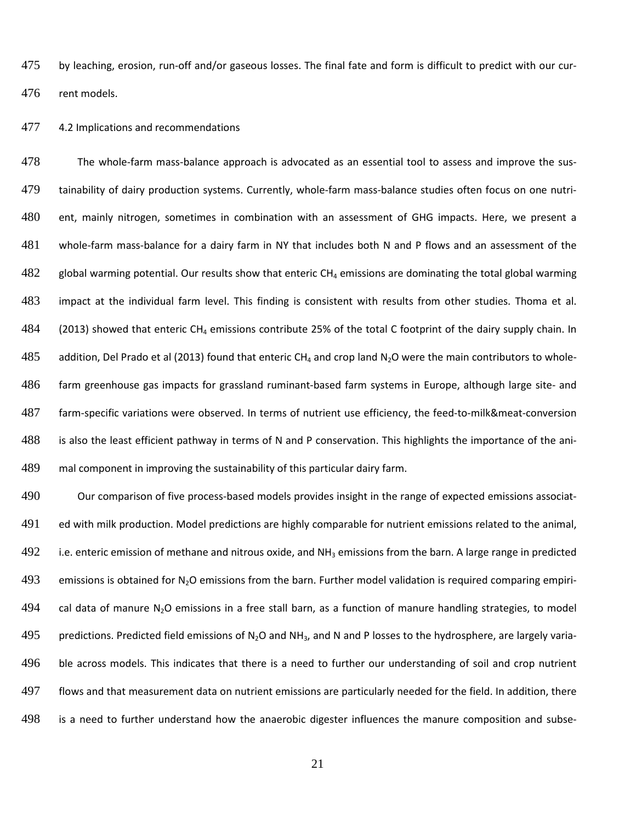475 by leaching, erosion, run-off and/or gaseous losses. The final fate and form is difficult to predict with our cur-rent models.

4.2 Implications and recommendations

 The whole-farm mass-balance approach is advocated as an essential tool to assess and improve the sus- tainability of dairy production systems. Currently, whole-farm mass-balance studies often focus on one nutri- ent, mainly nitrogen, sometimes in combination with an assessment of GHG impacts. Here, we present a whole-farm mass-balance for a dairy farm in NY that includes both N and P flows and an assessment of the global warming potential. Our results show that enteric CH<sub>4</sub> emissions are dominating the total global warming impact at the individual farm level. This finding is consistent with results from other studies. Thoma et al. 484 (2013) showed that enteric CH<sub>4</sub> emissions contribute 25% of the total C footprint of the dairy supply chain. In 485 addition, Del Prado et al (2013) found that enteric CH<sub>4</sub> and crop land N<sub>2</sub>O were the main contributors to whole- farm greenhouse gas impacts for grassland ruminant-based farm systems in Europe, although large site- and farm-specific variations were observed. In terms of nutrient use efficiency, the feed-to-milk&meat-conversion is also the least efficient pathway in terms of N and P conservation. This highlights the importance of the ani-mal component in improving the sustainability of this particular dairy farm.

 Our comparison of five process-based models provides insight in the range of expected emissions associat-491 ed with milk production. Model predictions are highly comparable for nutrient emissions related to the animal, 492 i.e. enteric emission of methane and nitrous oxide, and  $NH<sub>3</sub>$  emissions from the barn. A large range in predicted 493 emissions is obtained for  $N_2O$  emissions from the barn. Further model validation is required comparing empiri-494 cal data of manure  $N<sub>2</sub>O$  emissions in a free stall barn, as a function of manure handling strategies, to model 495 predictions. Predicted field emissions of N<sub>2</sub>O and NH<sub>3</sub>, and N and P losses to the hydrosphere, are largely varia-496 ble across models. This indicates that there is a need to further our understanding of soil and crop nutrient flows and that measurement data on nutrient emissions are particularly needed for the field. In addition, there is a need to further understand how the anaerobic digester influences the manure composition and subse-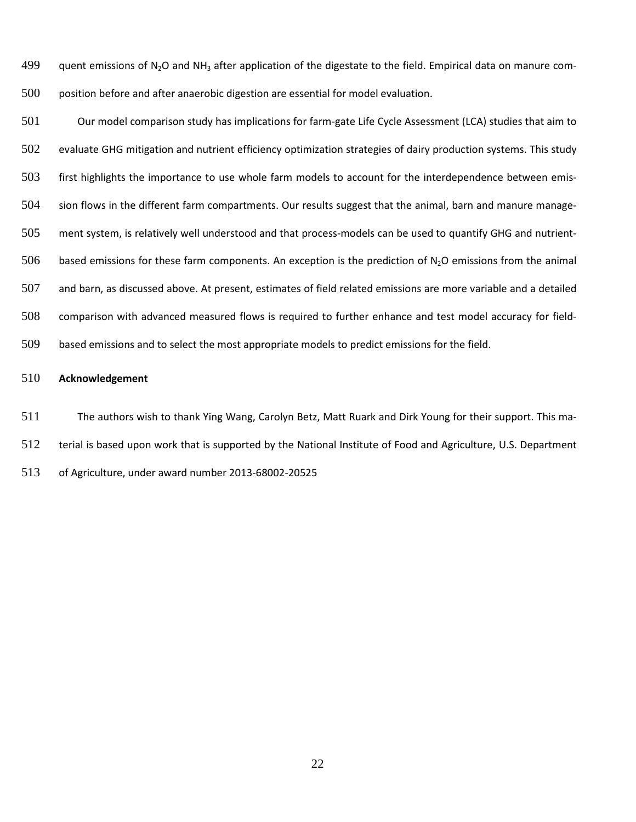499 quent emissions of N<sub>2</sub>O and NH<sub>3</sub> after application of the digestate to the field. Empirical data on manure com-position before and after anaerobic digestion are essential for model evaluation.

 Our model comparison study has implications for farm-gate Life Cycle Assessment (LCA) studies that aim to evaluate GHG mitigation and nutrient efficiency optimization strategies of dairy production systems. This study first highlights the importance to use whole farm models to account for the interdependence between emis- sion flows in the different farm compartments. Our results suggest that the animal, barn and manure manage- ment system, is relatively well understood and that process-models can be used to quantify GHG and nutrient-506 based emissions for these farm components. An exception is the prediction of  $N_2O$  emissions from the animal and barn, as discussed above. At present, estimates of field related emissions are more variable and a detailed comparison with advanced measured flows is required to further enhance and test model accuracy for field-based emissions and to select the most appropriate models to predict emissions for the field.

### **Acknowledgement**

The authors wish to thank Ying Wang, Carolyn Betz, Matt Ruark and Dirk Young for their support. This ma-

terial is based upon work that is supported by the National Institute of Food and Agriculture, U.S. Department

of Agriculture, under award number 2013-68002-20525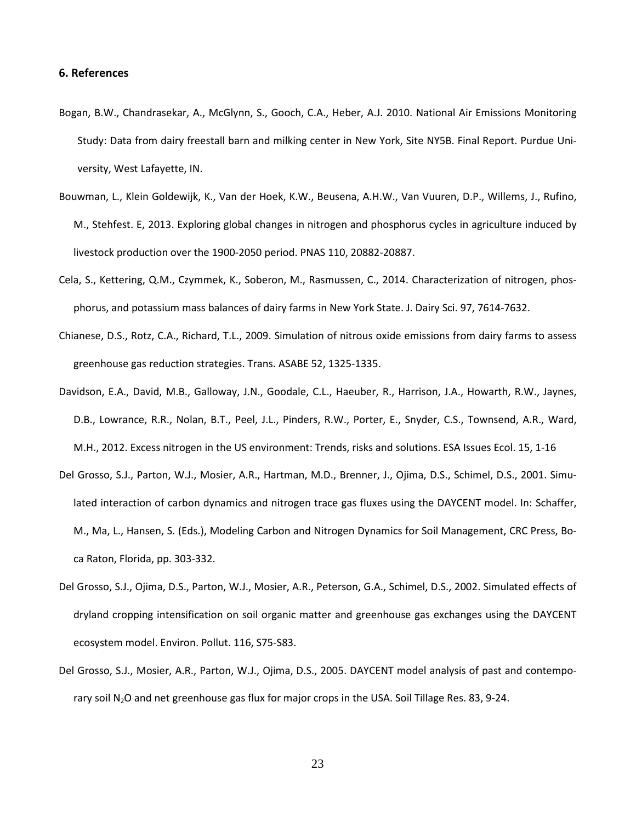#### **6. References**

- Bogan, B.W., Chandrasekar, A., McGlynn, S., Gooch, C.A., Heber, A.J. 2010. National Air Emissions Monitoring Study: Data from dairy freestall barn and milking center in New York, Site NY5B. Final Report. Purdue University, West Lafayette, IN.
- Bouwman, L., Klein Goldewijk, K., Van der Hoek, K.W., Beusena, A.H.W., Van Vuuren, D.P., Willems, J., Rufino, M., Stehfest. E, 2013. Exploring global changes in nitrogen and phosphorus cycles in agriculture induced by livestock production over the 1900-2050 period. PNAS 110, 20882-20887.
- Cela, S., Kettering, Q.M., Czymmek, K., Soberon, M., Rasmussen, C., 2014. Characterization of nitrogen, phosphorus, and potassium mass balances of dairy farms in New York State. J. Dairy Sci. 97, 7614-7632.
- Chianese, D.S., Rotz, C.A., Richard, T.L., 2009. Simulation of nitrous oxide emissions from dairy farms to assess greenhouse gas reduction strategies. Trans. ASABE 52, 1325-1335.
- Davidson, E.A., David, M.B., Galloway, J.N., Goodale, C.L., Haeuber, R., Harrison, J.A., Howarth, R.W., Jaynes, D.B., Lowrance, R.R., Nolan, B.T., Peel, J.L., Pinders, R.W., Porter, E., Snyder, C.S., Townsend, A.R., Ward, M.H., 2012. Excess nitrogen in the US environment: Trends, risks and solutions. ESA Issues Ecol. 15, 1-16
- Del Grosso, S.J., Parton, W.J., Mosier, A.R., Hartman, M.D., Brenner, J., Ojima, D.S., Schimel, D.S., 2001. Simulated interaction of carbon dynamics and nitrogen trace gas fluxes using the DAYCENT model. In: Schaffer, M., Ma, L., Hansen, S. (Eds.), Modeling Carbon and Nitrogen Dynamics for Soil Management, CRC Press, Boca Raton, Florida, pp. 303-332.
- Del Grosso, S.J., Ojima, D.S., Parton, W.J., Mosier, A.R., Peterson, G.A., Schimel, D.S., 2002. Simulated effects of dryland cropping intensification on soil organic matter and greenhouse gas exchanges using the DAYCENT ecosystem model. Environ. Pollut. 116, S75-S83.
- Del Grosso, S.J., Mosier, A.R., Parton, W.J., Ojima, D.S., 2005. DAYCENT model analysis of past and contemporary soil N<sub>2</sub>O and net greenhouse gas flux for major crops in the USA. Soil Tillage Res. 83, 9-24.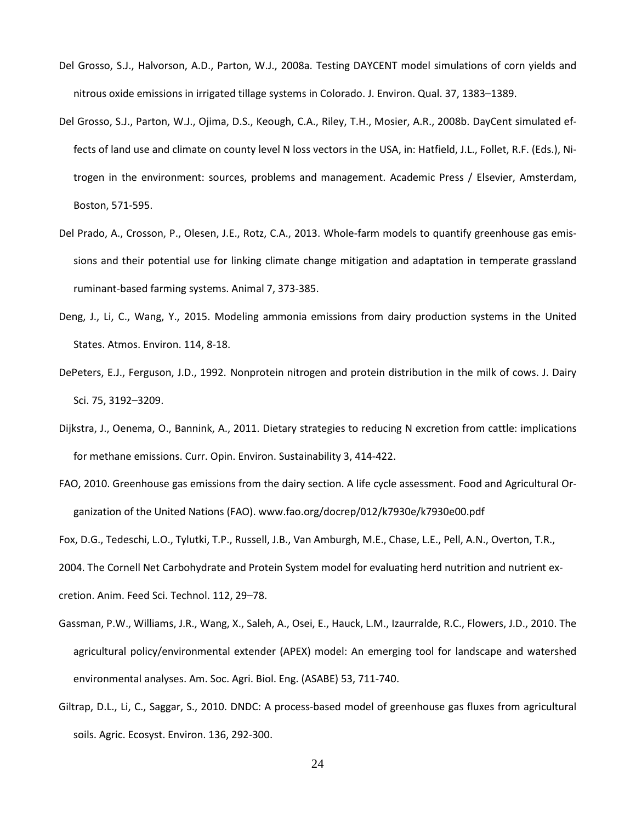- Del Grosso, S.J., Halvorson, A.D., Parton, W.J., 2008a. Testing DAYCENT model simulations of corn yields and nitrous oxide emissions in irrigated tillage systems in Colorado. J. Environ. Qual. 37, 1383–1389.
- Del Grosso, S.J., Parton, W.J., Ojima, D.S., Keough, C.A., Riley, T.H., Mosier, A.R., 2008b. DayCent simulated effects of land use and climate on county level N loss vectors in the USA, in: Hatfield, J.L., Follet, R.F. (Eds.), Nitrogen in the environment: sources, problems and management. Academic Press / Elsevier, Amsterdam, Boston, 571-595.
- Del Prado, A., Crosson, P., Olesen, J.E., Rotz, C.A., 2013. Whole-farm models to quantify greenhouse gas emissions and their potential use for linking climate change mitigation and adaptation in temperate grassland ruminant-based farming systems. Animal 7, 373-385.
- Deng, J., Li, C., Wang, Y., 2015. Modeling ammonia emissions from dairy production systems in the United States. Atmos. Environ. 114, 8-18.
- DePeters, E.J., Ferguson, J.D., 1992. Nonprotein nitrogen and protein distribution in the milk of cows. J. Dairy Sci. 75, 3192–3209.
- Dijkstra, J., Oenema, O., Bannink, A., 2011. Dietary strategies to reducing N excretion from cattle: implications for methane emissions. Curr. Opin. Environ. Sustainability 3, 414-422.
- FAO, 2010. Greenhouse gas emissions from the dairy section. A life cycle assessment. Food and Agricultural Organization of the United Nations (FAO). www.fao.org/docrep/012/k7930e/k7930e00.pdf

Fox, D.G., Tedeschi, L.O., Tylutki, T.P., Russell, J.B., Van Amburgh, M.E., Chase, L.E., Pell, A.N., Overton, T.R.,

2004. The Cornell Net Carbohydrate and Protein System model for evaluating herd nutrition and nutrient ex-

cretion. Anim. Feed Sci. Technol. 112, 29–78.

- Gassman, P.W., Williams, J.R., Wang, X., Saleh, A., Osei, E., Hauck, L.M., Izaurralde, R.C., Flowers, J.D., 2010. The agricultural policy/environmental extender (APEX) model: An emerging tool for landscape and watershed environmental analyses. Am. Soc. Agri. Biol. Eng. (ASABE) 53, 711-740.
- Giltrap, D.L., Li, C., Saggar, S., 2010. DNDC: A process-based model of greenhouse gas fluxes from agricultural soils. Agric. Ecosyst. Environ. 136, 292-300.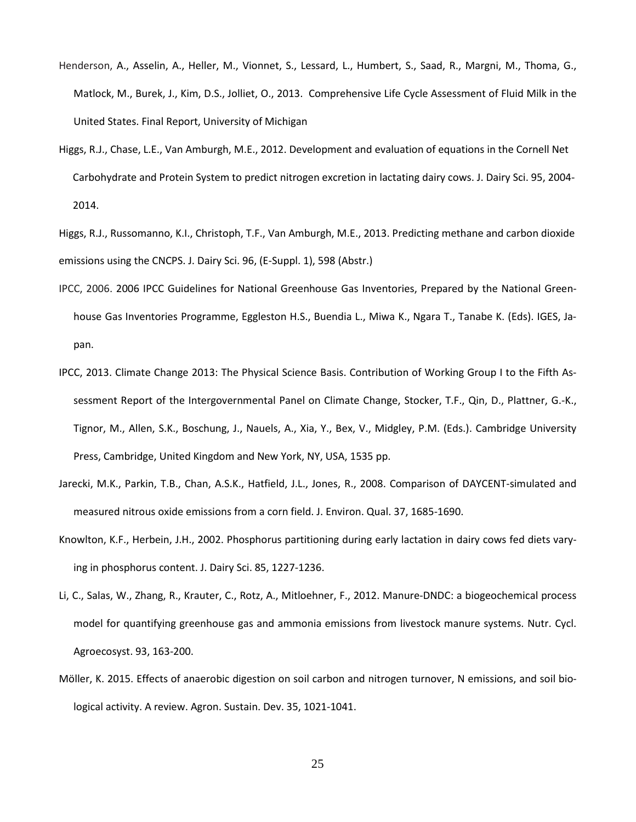- Henderson, A., Asselin, A., Heller, M., Vionnet, S., Lessard, L., Humbert, S., Saad, R., Margni, M., Thoma, G., Matlock, M., Burek, J., Kim, D.S., Jolliet, O., 2013. Comprehensive Life Cycle Assessment of Fluid Milk in the United States. Final Report, University of Michigan
- Higgs, R.J., Chase, L.E., Van Amburgh, M.E., 2012. Development and evaluation of equations in the Cornell Net Carbohydrate and Protein System to predict nitrogen excretion in lactating dairy cows. J. Dairy Sci. 95, 2004- 2014.
- Higgs, R.J., Russomanno, K.I., Christoph, T.F., Van Amburgh, M.E., 2013. Predicting methane and carbon dioxide emissions using the CNCPS. J. Dairy Sci. 96, (E-Suppl. 1), 598 (Abstr.)
- IPCC, 2006. 2006 IPCC Guidelines for National Greenhouse Gas Inventories, Prepared by the National Greenhouse Gas Inventories Programme, Eggleston H.S., Buendia L., Miwa K., Ngara T., Tanabe K. (Eds). IGES, Japan.
- IPCC, 2013. Climate Change 2013: The Physical Science Basis. Contribution of Working Group I to the Fifth Assessment Report of the Intergovernmental Panel on Climate Change, Stocker, T.F., Qin, D., Plattner, G.-K., Tignor, M., Allen, S.K., Boschung, J., Nauels, A., Xia, Y., Bex, V., Midgley, P.M. (Eds.). Cambridge University Press, Cambridge, United Kingdom and New York, NY, USA, 1535 pp.
- Jarecki, M.K., Parkin, T.B., Chan, A.S.K., Hatfield, J.L., Jones, R., 2008. Comparison of DAYCENT-simulated and measured nitrous oxide emissions from a corn field. J. Environ. Qual. 37, 1685-1690.
- Knowlton, K.F., Herbein, J.H., 2002. Phosphorus partitioning during early lactation in dairy cows fed diets varying in phosphorus content. J. Dairy Sci. 85, 1227-1236.
- Li, C., Salas, W., Zhang, R., Krauter, C., Rotz, A., Mitloehner, F., 2012. Manure-DNDC: a biogeochemical process model for quantifying greenhouse gas and ammonia emissions from livestock manure systems. Nutr. Cycl. Agroecosyst. 93, 163-200.
- Möller, K. 2015. Effects of anaerobic digestion on soil carbon and nitrogen turnover, N emissions, and soil biological activity. A review. Agron. Sustain. Dev. 35, 1021-1041.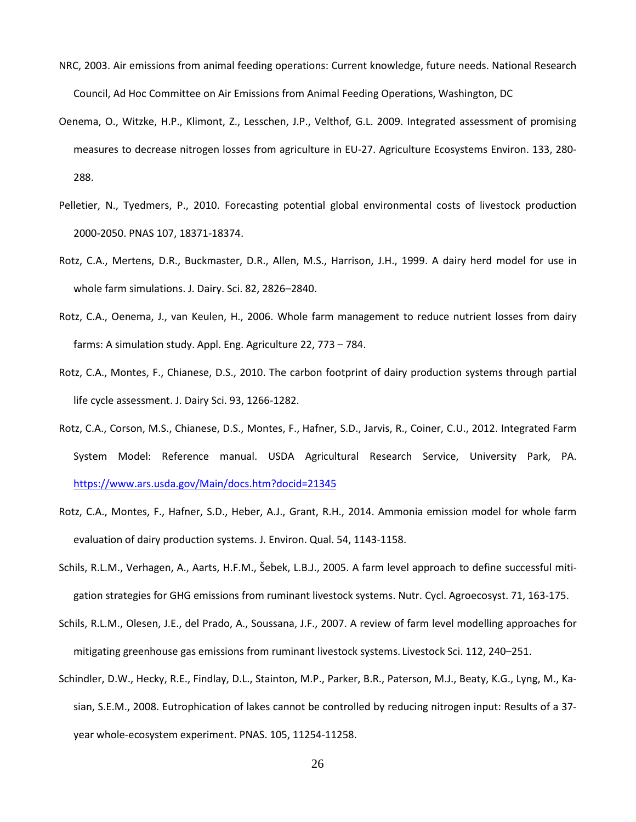- NRC, 2003. Air emissions from animal feeding operations: Current knowledge, future needs. National Research Council, Ad Hoc Committee on Air Emissions from Animal Feeding Operations, Washington, DC
- Oenema, O., Witzke, H.P., Klimont, Z., Lesschen, J.P., Velthof, G.L. 2009. Integrated assessment of promising measures to decrease nitrogen losses from agriculture in EU-27. Agriculture Ecosystems Environ. 133, 280- 288.
- Pelletier, N., Tyedmers, P., 2010. Forecasting potential global environmental costs of livestock production 2000-2050. PNAS 107, 18371-18374.
- Rotz, C.A., Mertens, D.R., Buckmaster, D.R., Allen, M.S., Harrison, J.H., 1999. A dairy herd model for use in whole farm simulations. J. Dairy. Sci. 82, 2826–2840.
- Rotz, C.A., Oenema, J., van Keulen, H., 2006. Whole farm management to reduce nutrient losses from dairy farms: A simulation study. Appl. Eng. Agriculture 22, 773 – 784.
- Rotz, C.A., Montes, F., Chianese, D.S., 2010. The carbon footprint of dairy production systems through partial life cycle assessment. J. Dairy Sci. 93, 1266-1282.
- Rotz, C.A., Corson, M.S., Chianese, D.S., Montes, F., Hafner, S.D., Jarvis, R., Coiner, C.U., 2012. Integrated Farm System Model: Reference manual. USDA Agricultural Research Service, University Park, PA. <https://www.ars.usda.gov/Main/docs.htm?docid=21345>
- Rotz, C.A., Montes, F., Hafner, S.D., Heber, A.J., Grant, R.H., 2014. Ammonia emission model for whole farm evaluation of dairy production systems. J. Environ. Qual. 54, 1143-1158.
- Schils, R.L.M., Verhagen, A., Aarts, H.F.M., Šebek, L.B.J., 2005. A farm level approach to define successful mitigation strategies for GHG emissions from ruminant livestock systems. Nutr. Cycl. Agroecosyst. 71, 163-175.
- Schils, R.L.M., Olesen, J.E., del Prado, A., Soussana, J.F., 2007. A review of farm level modelling approaches for mitigating greenhouse gas emissions from ruminant livestock systems. Livestock Sci. 112, 240–251.
- Schindler, D.W., Hecky, R.E., Findlay, D.L., Stainton, M.P., Parker, B.R., Paterson, M.J., Beaty, K.G., Lyng, M., Kasian, S.E.M., 2008. Eutrophication of lakes cannot be controlled by reducing nitrogen input: Results of a 37 year whole-ecosystem experiment. PNAS. 105, 11254-11258.